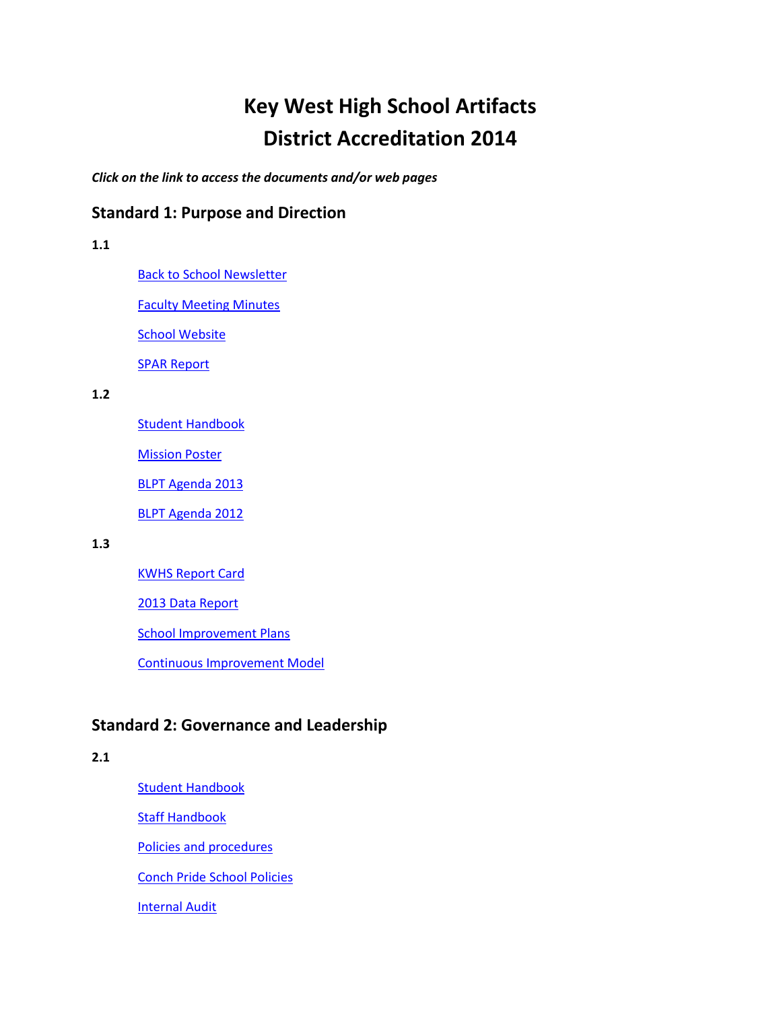# **Key West High School Artifacts District Accreditation 2014**

*Click on the link to access the documents and/or web pages*

# **Standard 1: Purpose and Direction**

# **1.1**

[Back to School Newsletter](http://accreditation.kwh.keysschools.schoolfusion.us/modules/locker/files/get_group_file.phtml?gid=4419682&fid=25156030&sessionid=be4f879154e0ce051d90f601ea2b2534)

[Faculty Meeting Minutes](http://accreditation.kwh.keysschools.schoolfusion.us/modules/locker/files/get_group_file.phtml?gid=4419682&fid=25156024&sessionid=be4f879154e0ce051d90f601ea2b2534)

**[School Website](http://kwh.keysschools.schoolfusion.us/)** 

[SPAR Report](http://doeweb-prd.doe.state.fl.us/eds/nclbspar/year1213/nclb1213.cfm?dist_schl=44_101)

### **1.2**

[Student Handbook](http://accreditation.kwh.keysschools.schoolfusion.us/modules/locker/files/get_group_file.phtml?gid=4419682&fid=25156028&sessionid=be4f879154e0ce051d90f601ea2b2534)

**[Mission Poster](http://accreditation.kwh.keysschools.schoolfusion.us/modules/locker/files/get_group_file.phtml?gid=4419682&fid=25156029&sessionid=be4f879154e0ce051d90f601ea2b2534)** 

[BLPT Agenda](http://accreditation.kwh.keysschools.schoolfusion.us/modules/locker/files/get_group_file.phtml?gid=4419682&fid=25156027&sessionid=be4f879154e0ce051d90f601ea2b2534) 2013

[BLPT Agenda 2012](http://accreditation.kwh.keysschools.schoolfusion.us/modules/locker/files/get_group_file.phtml?gid=4419682&fid=25187250&sessionid=25a2d20f2309c9eff168d5dfddfb7237)

#### **1.3**

[KWHS Report Card](http://accreditation.kwh.keysschools.schoolfusion.us/modules/locker/files/get_group_file.phtml?gid=4419682&fid=25156026&sessionid=be4f879154e0ce051d90f601ea2b2534)

[2013 Data Report](http://accreditation.kwh.keysschools.schoolfusion.us/modules/locker/files/get_group_file.phtml?gid=4419682&fid=25156025&sessionid=be4f879154e0ce051d90f601ea2b2534)

[School Improvement Plans](http://demographics.keysschools.com/SIP/KWHS_2013-14_SIP.pdf)

[Continuous Improvement Model](http://accreditation.kwh.keysschools.schoolfusion.us/modules/locker/files/get_group_file.phtml?gid=4419682&fid=25156032&sessionid=be4f879154e0ce051d90f601ea2b2534)

# **Standard 2: Governance and Leadership**

### **2.1**

[Student Handbook](http://accreditation.kwh.keysschools.schoolfusion.us/modules/locker/files/get_group_file.phtml?gid=4419682&fid=25169173&sessionid=be4f879154e0ce051d90f601ea2b2534) [Staff Handbook](http://accreditation.kwh.keysschools.schoolfusion.us/modules/locker/files/get_group_file.phtml?gid=4419682&fid=25169181&sessionid=be4f879154e0ce051d90f601ea2b2534) [Policies and procedures](http://accreditation.kwh.keysschools.schoolfusion.us/modules/locker/files/get_group_file.phtml?gid=4419682&fid=25169171&sessionid=be4f879154e0ce051d90f601ea2b2534) [Conch Pride School Policies](http://accreditation.kwh.keysschools.schoolfusion.us/modules/locker/files/get_group_file.phtml?gid=4419682&fid=25169183&sessionid=be4f879154e0ce051d90f601ea2b2534) [Internal Audit](http://accreditation.kwh.keysschools.schoolfusion.us/modules/locker/files/get_group_file.phtml?gid=4419682&fid=25174177&sessionid=be4f879154e0ce051d90f601ea2b2534)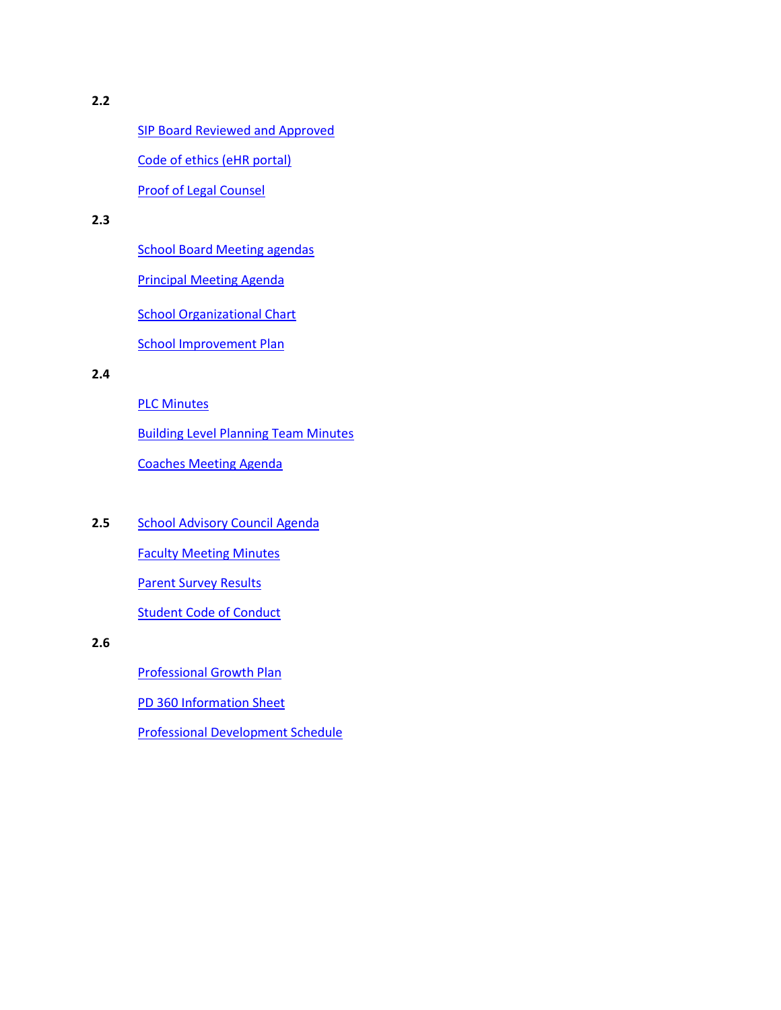[SIP Board Reviewed and Approved](http://accreditation.kwh.keysschools.schoolfusion.us/modules/locker/files/get_group_file.phtml?gid=4419682&fid=25169190&sessionid=be4f879154e0ce051d90f601ea2b2534)

[Code of ethics \(eHR portal\)](http://kwh.keysschools.schoolfusion.us/modules/locker/files/get_group_file.phtml?gid=4419682&fid=25178133&sessionid=d108149d9b1bc3238a8ac7b60dc5271a)

[Proof of Legal Counsel](http://accreditation.kwh.keysschools.schoolfusion.us/modules/locker/files/get_group_file.phtml?gid=4419682&fid=25169188&sessionid=be4f879154e0ce051d90f601ea2b2534) 

## **2.3**

[School Board Meeting agendas](http://agendas-and-minutes-2013-14.keysschools.schoolfusion.us/)

[Principal Meeting Agenda](http://accreditation.kwh.keysschools.schoolfusion.us/modules/locker/files/get_group_file.phtml?gid=4419682&fid=25169176&sessionid=be4f879154e0ce051d90f601ea2b2534)

**[School Organizational Chart](http://accreditation.kwh.keysschools.schoolfusion.us/modules/locker/files/get_group_file.phtml?gid=4419682&fid=25228294&sessionid=7caf1a9d1dfc5380a31219cf4c92e34e)** 

[School Improvement Plan](http://demographics.keysschools.com/SIP/KWHS_2013-14_SIP.pdf)

#### **2.4**

[PLC Minutes](http://accreditation.kwh.keysschools.schoolfusion.us/modules/locker/files/get_group_file.phtml?gid=4419682&fid=25169175&sessionid=be4f879154e0ce051d90f601ea2b2534)

[Building Level Planning Team Minutes](http://accreditation.kwh.keysschools.schoolfusion.us/modules/locker/files/get_group_file.phtml?gid=4419682&fid=25169172&sessionid=be4f879154e0ce051d90f601ea2b2534)

[Coaches Meeting Agenda](http://accreditation.kwh.keysschools.schoolfusion.us/modules/locker/files/get_group_file.phtml?gid=4419682&fid=25169174&sessionid=be4f879154e0ce051d90f601ea2b2534)

2.5 [School Advisory Council Agenda](http://accreditation.kwh.keysschools.schoolfusion.us/modules/locker/files/get_group_file.phtml?gid=4419682&fid=25169180&sessionid=be4f879154e0ce051d90f601ea2b2534)

[Faculty Meeting Minutes](http://accreditation.kwh.keysschools.schoolfusion.us/modules/locker/files/get_group_file.phtml?gid=4419682&fid=25169178&sessionid=be4f879154e0ce051d90f601ea2b2534)

[Parent Survey Results](http://accreditation.kwh.keysschools.schoolfusion.us/modules/locker/files/get_group_file.phtml?gid=4419682&fid=25169177&sessionid=be4f879154e0ce051d90f601ea2b2534)

**[Student Code of Conduct](http://accreditation.kwh.keysschools.schoolfusion.us/modules/locker/files/get_group_file.phtml?gid=4419682&fid=25169187&sessionid=be4f879154e0ce051d90f601ea2b2534)** 

## **2.6**

[Professional Growth Plan](http://accreditation.kwh.keysschools.schoolfusion.us/modules/locker/files/get_group_file.phtml?gid=4419682&fid=25169184&sessionid=be4f879154e0ce051d90f601ea2b2534)

[PD 360 Information Sheet](http://accreditation.kwh.keysschools.schoolfusion.us/modules/locker/files/get_group_file.phtml?gid=4419682&fid=25169198&sessionid=be4f879154e0ce051d90f601ea2b2534)

[Professional Development Schedule](http://accreditation.kwh.keysschools.schoolfusion.us/modules/locker/files/get_group_file.phtml?gid=4419682&fid=25169179&sessionid=be4f879154e0ce051d90f601ea2b2534)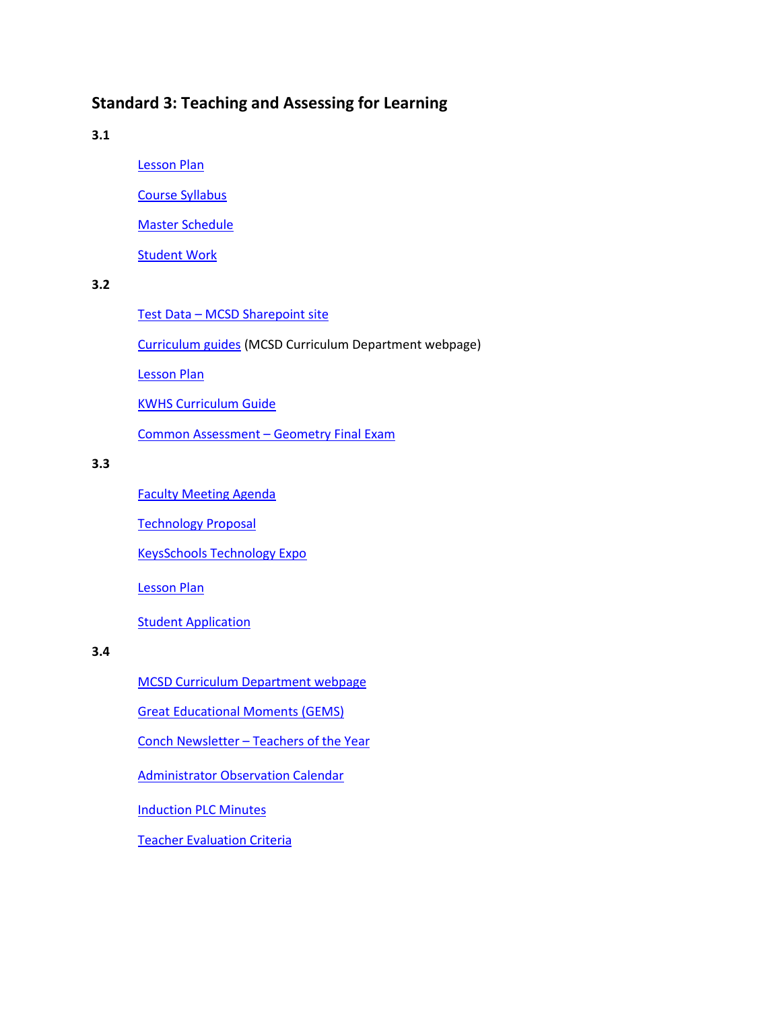# **Standard 3: Teaching and Assessing for Learning**

**3.1**

[Lesson Plan](http://accreditation.kwh.keysschools.schoolfusion.us/modules/locker/files/get_group_file.phtml?gid=4419682&fid=25169295&sessionid=be4f879154e0ce051d90f601ea2b2534)

[Course Syllabus](http://accreditation.kwh.keysschools.schoolfusion.us/modules/locker/files/get_group_file.phtml?gid=4419682&fid=25169291&sessionid=be4f879154e0ce051d90f601ea2b2534)

[Master Schedule](http://accreditation.kwh.keysschools.schoolfusion.us/modules/locker/files/get_group_file.phtml?gid=4419682&fid=25169294&sessionid=be4f879154e0ce051d90f601ea2b2534)

[Student Work](http://accreditation.kwh.keysschools.schoolfusion.us/modules/locker/files/get_group_file.phtml?gid=4419682&fid=25169299&sessionid=be4f879154e0ce051d90f601ea2b2534)

## **3.2**

Test Data – [MCSD Sharepoint site](http://accreditation.kwh.keysschools.schoolfusion.us/modules/locker/files/get_group_file.phtml?gid=4419682&fid=25257497&sessionid=4fdef17017485c57e69c2eddeedb10b6)

[Curriculum guides](http://instructional-services.keysschools.schoolfusion.us/) (MCSD Curriculum Department webpage)

[Lesson Plan](http://accreditation.kwh.keysschools.schoolfusion.us/modules/locker/files/get_group_file.phtml?gid=4419682&fid=25169261&sessionid=be4f879154e0ce051d90f601ea2b2534)

[KWHS Curriculum Guide](http://accreditation.kwh.keysschools.schoolfusion.us/modules/locker/files/get_group_file.phtml?gid=4419682&fid=25169307&sessionid=be4f879154e0ce051d90f601ea2b2534)

[Common Assessment](http://accreditation.kwh.keysschools.schoolfusion.us/modules/locker/files/get_group_file.phtml?gid=4419682&fid=25187310&sessionid=04a70e60cfe08aeb9f3354292135e8be) – Geometry Final Exam

# **3.3**

[Faculty Meeting Agenda](http://accreditation.kwh.keysschools.schoolfusion.us/modules/locker/files/get_group_file.phtml?gid=4419682&fid=25169260&sessionid=be4f879154e0ce051d90f601ea2b2534)

[Technology Proposal](http://accreditation.kwh.keysschools.schoolfusion.us/modules/locker/files/get_group_file.phtml?gid=4419682&fid=25169262&sessionid=be4f879154e0ce051d90f601ea2b2534)

[KeysSchools Technology Expo](http://tech-expo-2014.keysschools.schoolfusion.us/)

[Lesson Plan](http://accreditation.kwh.keysschools.schoolfusion.us/modules/locker/files/get_group_file.phtml?gid=4419682&fid=25169267&sessionid=be4f879154e0ce051d90f601ea2b2534)

**[Student Application](http://accreditation.kwh.keysschools.schoolfusion.us/modules/locker/files/get_group_file.phtml?gid=4419682&fid=25169266&sessionid=be4f879154e0ce051d90f601ea2b2534)** 

## **3.4**

[MCSD Curriculum Department webpage](http://instructional-services.keysschools.schoolfusion.us/)

[Great Educational Moments](http://gems.keysschools.schoolfusion.us/) (GEMS)

Conch Newsletter – [Teachers of the Year](http://accreditation.kwh.keysschools.schoolfusion.us/modules/locker/files/get_group_file.phtml?gid=4419682&fid=25169276&sessionid=be4f879154e0ce051d90f601ea2b2534)

[Administrator Observation Calendar](http://accreditation.kwh.keysschools.schoolfusion.us/modules/locker/files/get_group_file.phtml?gid=4419682&fid=25229156&sessionid=53ed9484b7c70e2248bc8f5fc3eded5e) 

[Induction PLC Minutes](http://accreditation.kwh.keysschools.schoolfusion.us/modules/locker/files/get_group_file.phtml?gid=4419682&fid=25169268&sessionid=be4f879154e0ce051d90f601ea2b2534)

[Teacher Evaluation Criteria](http://accreditation.kwh.keysschools.schoolfusion.us/modules/locker/files/get_group_file.phtml?gid=4419682&fid=25187384&sessionid=04a70e60cfe08aeb9f3354292135e8be)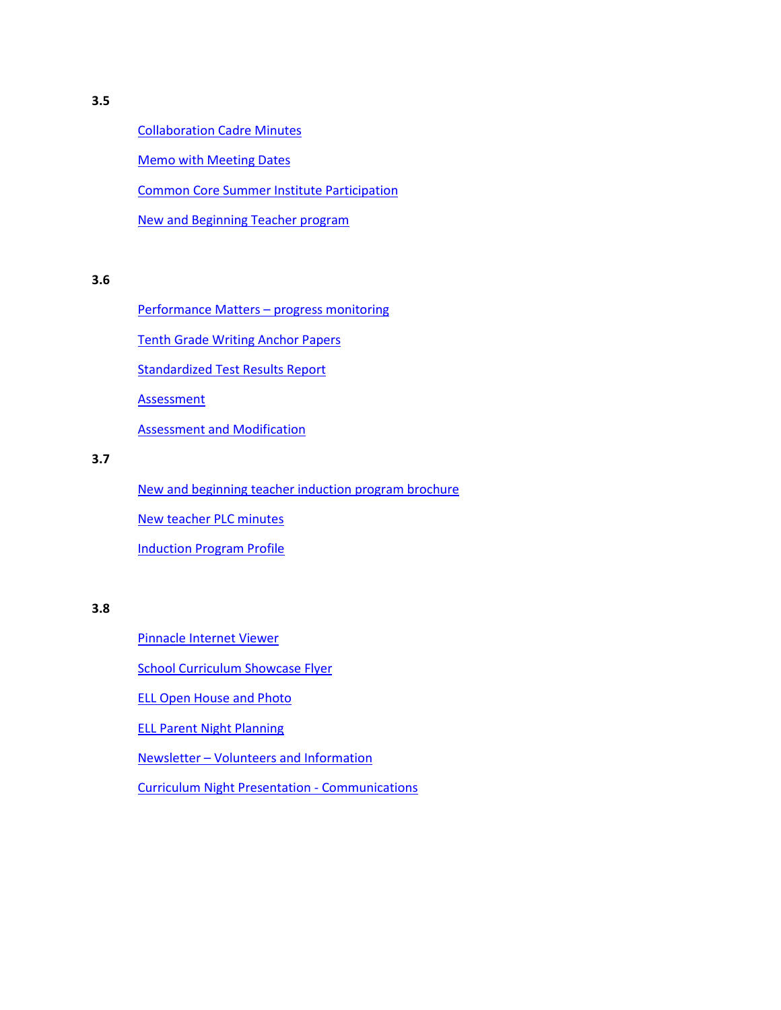[Collaboration Cadre Minutes](http://accreditation.kwh.keysschools.schoolfusion.us/modules/locker/files/get_group_file.phtml?gid=4419682&fid=25169264&sessionid=be4f879154e0ce051d90f601ea2b2534)

[Memo with Meeting Dates](http://accreditation.kwh.keysschools.schoolfusion.us/modules/locker/files/get_group_file.phtml?gid=4419682&fid=25169269&sessionid=be4f879154e0ce051d90f601ea2b2534)

[Common Core Summer Institute Participation](http://accreditation.keysschools.schoolfusion.us/modules/locker/files/get_group_file.phtml?gid=4392136&fid=24706360&sessionid=c41c8255cb8b27415596278b10d5419a)

[New and Beginning Teacher program](http://induction.keysschools.schoolfusion.us/)

#### **3.6**

[Performance Matters](http://www.performancematters.com/) – progress monitoring

[Tenth Grade Writing Anchor Papers](http://accreditation.kwh.keysschools.schoolfusion.us/modules/locker/files/get_group_file.phtml?gid=4419682&fid=25169296&sessionid=be4f879154e0ce051d90f601ea2b2534)

[Standardized Test Results Report](http://accreditation.kwh.keysschools.schoolfusion.us/modules/locker/files/get_group_file.phtml?gid=4419682&fid=25187463&sessionid=04a70e60cfe08aeb9f3354292135e8be)

**[Assessment](http://accreditation.kwh.keysschools.schoolfusion.us/modules/locker/files/get_group_file.phtml?gid=4419682&fid=25187781&sessionid=04a70e60cfe08aeb9f3354292135e8be)** 

[Assessment and Modification](http://accreditation.kwh.keysschools.schoolfusion.us/modules/locker/files/get_group_file.phtml?gid=4419682&fid=25187512&sessionid=04a70e60cfe08aeb9f3354292135e8be)

#### **3.7**

[New and beginning](http://accreditation.kwh.keysschools.schoolfusion.us/modules/locker/files/get_group_file.phtml?gid=4419682&fid=25169275&sessionid=be4f879154e0ce051d90f601ea2b2534) teacher induction program brochure [New teacher](http://accreditation.kwh.keysschools.schoolfusion.us/modules/locker/files/get_group_file.phtml?gid=4419682&fid=25187622&sessionid=04a70e60cfe08aeb9f3354292135e8be) PLC minutes [Induction Program Profile](http://accreditation.kwh.keysschools.schoolfusion.us/modules/locker/files/get_group_file.phtml?gid=4419682&fid=25169274&sessionid=be4f879154e0ce051d90f601ea2b2534)

**3.8**

[Pinnacle Internet Viewer](https://gradebook.keysschools.com/pinnacle/gradebook)

[School Curriculum Showcase Flyer](http://accreditation.kwh.keysschools.schoolfusion.us/modules/locker/files/get_group_file.phtml?gid=4419682&fid=25228331&sessionid=7caf1a9d1dfc5380a31219cf4c92e34e)

[ELL Open House and Photo](http://accreditation.kwh.keysschools.schoolfusion.us/modules/locker/files/get_group_file.phtml?gid=4419682&fid=25169272&sessionid=be4f879154e0ce051d90f601ea2b2534)

[ELL Parent Night Planning](http://accreditation.kwh.keysschools.schoolfusion.us/modules/locker/files/get_group_file.phtml?gid=4419682&fid=25228991&sessionid=53ed9484b7c70e2248bc8f5fc3eded5e)

Newsletter – [Volunteers and Information](http://accreditation.kwh.keysschools.schoolfusion.us/modules/locker/files/get_group_file.phtml?gid=4419682&fid=25169278&sessionid=be4f879154e0ce051d90f601ea2b2534)

[Curriculum Night Presentation -](http://accreditation.kwh.keysschools.schoolfusion.us/modules/locker/files/get_group_file.phtml?gid=4419682&fid=25169303&sessionid=be4f879154e0ce051d90f601ea2b2534) Communications

**3.5**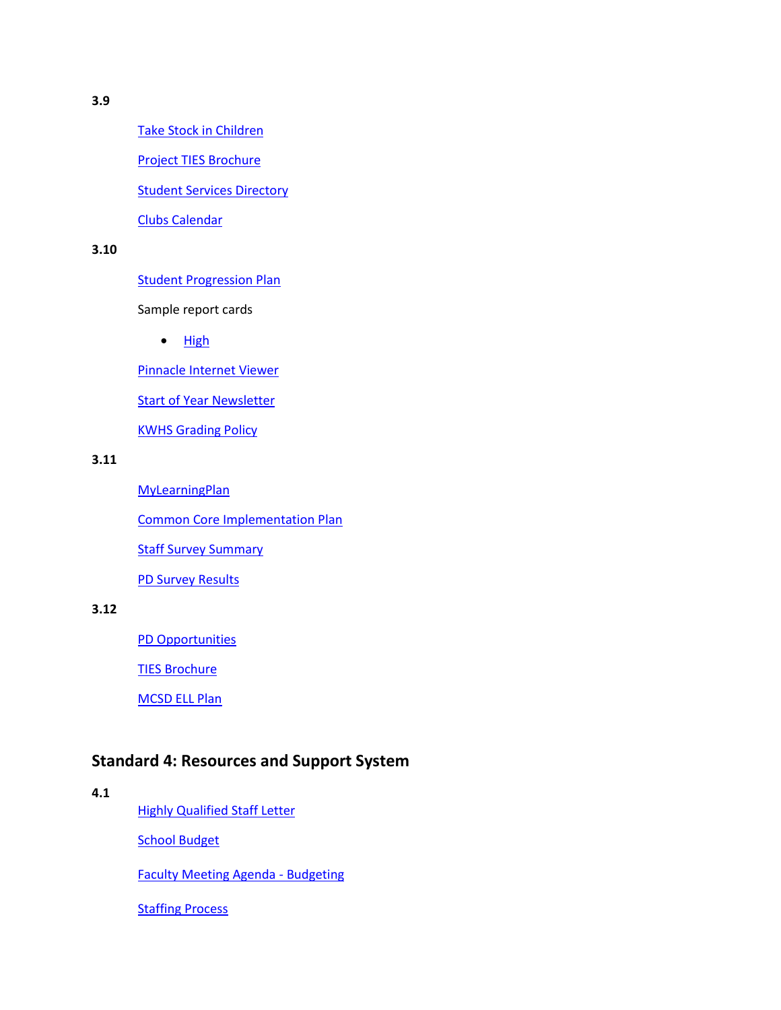[Take Stock in](http://take-stock-in-children.keysschools.schoolfusion.us/) Children

[Project TIES Brochure](http://accreditation.kwh.keysschools.schoolfusion.us/modules/locker/files/get_group_file.phtml?gid=4419682&fid=25169288&sessionid=be4f879154e0ce051d90f601ea2b2534)

[Student Services Directory](http://accreditation.kwh.keysschools.schoolfusion.us/modules/locker/files/get_group_file.phtml?gid=4419682&fid=25169279&sessionid=be4f879154e0ce051d90f601ea2b2534)

[Clubs Calendar](http://accreditation.kwh.keysschools.schoolfusion.us/modules/locker/files/get_group_file.phtml?gid=4419682&fid=25169282&sessionid=be4f879154e0ce051d90f601ea2b2534)

#### **3.10**

**[Student Progression Plan](http://keysschools.schoolfusion.us/modules/groups/homepagefiles/cms/1523249/File/Documents/Monroe_County_Student_Progression_Plan_2012-13.pdf?sessionid=972101173d3425124f8d14bade584bd7)** 

Sample report cards

 $\bullet$  [High](http://accreditation.keysschools.schoolfusion.us/modules/locker/files/get_group_file.phtml?gid=4392136&fid=24742460&sessionid=075021a275d8201a69c901a226d151ec)

[Pinnacle Internet Viewer](https://gradebook.keysschools.com/pinnacle/gradebook)

[Start of Year Newsletter](http://accreditation.kwh.keysschools.schoolfusion.us/modules/locker/files/get_group_file.phtml?gid=4419682&fid=25169283&sessionid=be4f879154e0ce051d90f601ea2b2534)

[KWHS Grading Policy](http://accreditation.kwh.keysschools.schoolfusion.us/modules/locker/files/get_group_file.phtml?gid=4419682&fid=25169281&sessionid=be4f879154e0ce051d90f601ea2b2534)

#### **3.11**

[MyLearningPlan](http://www.mylearningplan.com/) [Common Core Implementation Plan](http://accreditation.kwh.keysschools.schoolfusion.us/modules/locker/files/get_group_file.phtml?gid=4419682&fid=25169292&sessionid=be4f879154e0ce051d90f601ea2b2534) **[Staff Survey](http://accreditation.kwh.keysschools.schoolfusion.us/modules/locker/files/get_group_file.phtml?gid=4419682&fid=25169284&sessionid=be4f879154e0ce051d90f601ea2b2534) Summary** [PD Survey Results](http://accreditation.kwh.keysschools.schoolfusion.us/modules/locker/files/get_group_file.phtml?gid=4419682&fid=25169286&sessionid=be4f879154e0ce051d90f601ea2b2534)

# **3.12**

[PD Opportunities](http://accreditation.kwh.keysschools.schoolfusion.us/modules/locker/files/get_group_file.phtml?gid=4419682&fid=25169289&sessionid=be4f879154e0ce051d90f601ea2b2534)

[TIES Brochure](http://accreditation.kwh.keysschools.schoolfusion.us/modules/locker/files/get_group_file.phtml?gid=4419682&fid=25169297&sessionid=be4f879154e0ce051d90f601ea2b2534)

[MCSD ELL Plan](http://accreditation.kwh.keysschools.schoolfusion.us/modules/locker/files/get_group_file.phtml?gid=4419682&fid=25169293&sessionid=be4f879154e0ce051d90f601ea2b2534)

# **Standard 4: Resources and Support System**

**4.1**

**[Highly Qualified Staff Letter](http://accreditation.kwh.keysschools.schoolfusion.us/modules/locker/files/get_group_file.phtml?gid=4419682&fid=25174059&sessionid=be4f879154e0ce051d90f601ea2b2534)** 

**[School Budget](http://kwh.keysschools.schoolfusion.us/modules/locker/files/get_group_file.phtml?gid=4419682&fid=25259949&sessionid=3af8b2da1470fa2953c0c8f97c80bb54)** 

[Faculty Meeting Agenda -](http://accreditation.kwh.keysschools.schoolfusion.us/modules/locker/files/get_group_file.phtml?gid=4419682&fid=25174049&sessionid=be4f879154e0ce051d90f601ea2b2534) Budgeting

**[Staffing Process](http://accreditation.kwh.keysschools.schoolfusion.us/modules/locker/files/get_group_file.phtml?gid=4419682&fid=25174048&sessionid=be4f879154e0ce051d90f601ea2b2534)**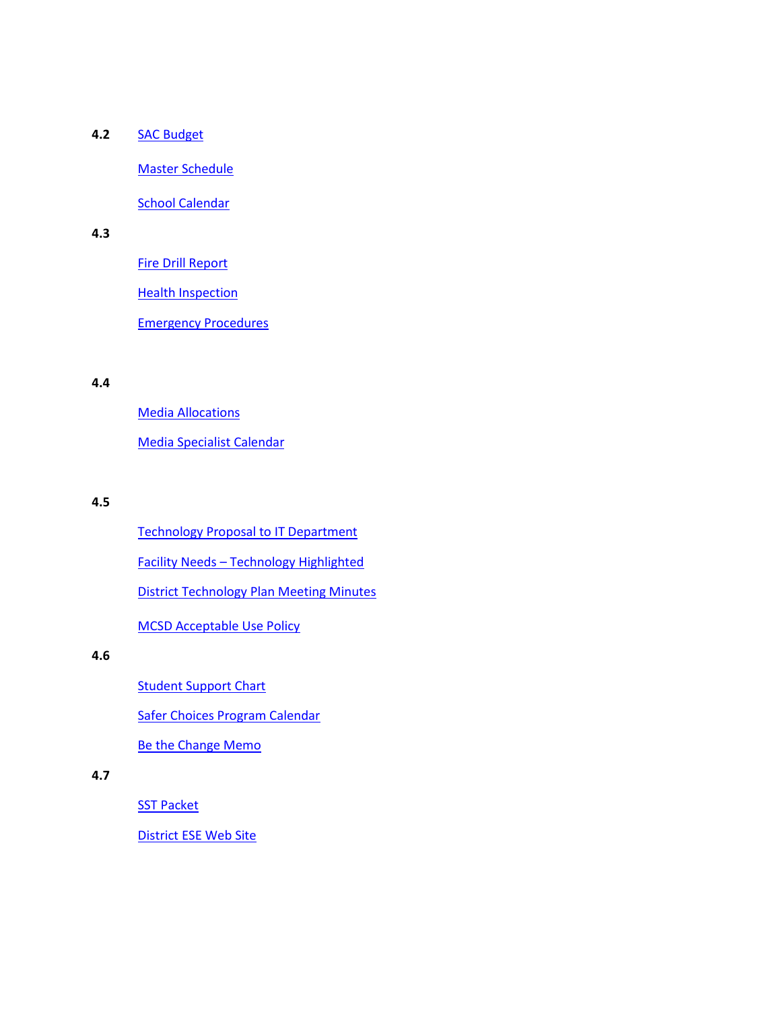# **4.2** [SAC Budget](http://accreditation.kwh.keysschools.schoolfusion.us/modules/locker/files/get_group_file.phtml?gid=4419682&fid=25174055&sessionid=be4f879154e0ce051d90f601ea2b2534)

[Master Schedule](http://accreditation.kwh.keysschools.schoolfusion.us/modules/locker/files/get_group_file.phtml?gid=4419682&fid=25174052&sessionid=be4f879154e0ce051d90f601ea2b2534)

**[School Calendar](http://accreditation.kwh.keysschools.schoolfusion.us/modules/locker/files/get_group_file.phtml?gid=4419682&fid=25174054&sessionid=be4f879154e0ce051d90f601ea2b2534)** 

# **4.3**

[Fire Drill Report](http://accreditation.kwh.keysschools.schoolfusion.us/modules/locker/files/get_group_file.phtml?gid=4419682&fid=25174041&sessionid=be4f879154e0ce051d90f601ea2b2534)

**[Health Inspection](http://accreditation.kwh.keysschools.schoolfusion.us/modules/locker/files/get_group_file.phtml?gid=4419682&fid=25174056&sessionid=be4f879154e0ce051d90f601ea2b2534)** 

[Emergency Procedures](http://accreditation.kwh.keysschools.schoolfusion.us/modules/locker/files/get_group_file.phtml?gid=4419682&fid=25174053&sessionid=be4f879154e0ce051d90f601ea2b2534)

#### **4.4**

[Media Allocations](http://accreditation.kwh.keysschools.schoolfusion.us/modules/locker/files/get_group_file.phtml?gid=4419682&fid=25174047&sessionid=be4f879154e0ce051d90f601ea2b2534) [Media Specialist Calendar](http://accreditation.kwh.keysschools.schoolfusion.us/modules/locker/files/get_group_file.phtml?gid=4419682&fid=25174045&sessionid=be4f879154e0ce051d90f601ea2b2534)

#### **4.5**

[Technology Proposal to IT Department](http://accreditation.kwh.keysschools.schoolfusion.us/modules/locker/files/get_group_file.phtml?gid=4419682&fid=25174050&sessionid=be4f879154e0ce051d90f601ea2b2534) Facility Needs – [Technology Highlighted](http://accreditation.kwh.keysschools.schoolfusion.us/modules/locker/files/get_group_file.phtml?gid=4419682&fid=25174042&sessionid=be4f879154e0ce051d90f601ea2b2534) [District Technology Plan Meeting Minutes](http://accreditation.kwh.keysschools.schoolfusion.us/modules/locker/files/get_group_file.phtml?gid=4419682&fid=25174046&sessionid=be4f879154e0ce051d90f601ea2b2534) [MCSD Acceptable Use Policy](http://accreditation.kwh.keysschools.schoolfusion.us/modules/locker/files/get_group_file.phtml?gid=4419682&fid=25174044&sessionid=be4f879154e0ce051d90f601ea2b2534)

# **4.6**

**[Student Support Chart](http://accreditation.kwh.keysschools.schoolfusion.us/modules/locker/files/get_group_file.phtml?gid=4419682&fid=25228359&sessionid=7caf1a9d1dfc5380a31219cf4c92e34e)** 

[Safer Choices Program Calendar](http://accreditation.kwh.keysschools.schoolfusion.us/modules/locker/files/get_group_file.phtml?gid=4419682&fid=25174043&sessionid=be4f879154e0ce051d90f601ea2b2534)

[Be the Change Memo](http://accreditation.kwh.keysschools.schoolfusion.us/modules/locker/files/get_group_file.phtml?gid=4419682&fid=25174051&sessionid=be4f879154e0ce051d90f601ea2b2534)

# **4.7**

**[SST Packet](http://accreditation.kwh.keysschools.schoolfusion.us/modules/locker/files/get_group_file.phtml?gid=4419682&fid=25174058&sessionid=be4f879154e0ce051d90f601ea2b2534)** 

[District ESE Web Site](http://student-services.keysschools.schoolfusion.us/modules/groups/integrated_home.phtml?&gid=1534139&sessionid=fd83e1a48c3d884564adc45a1930323f)